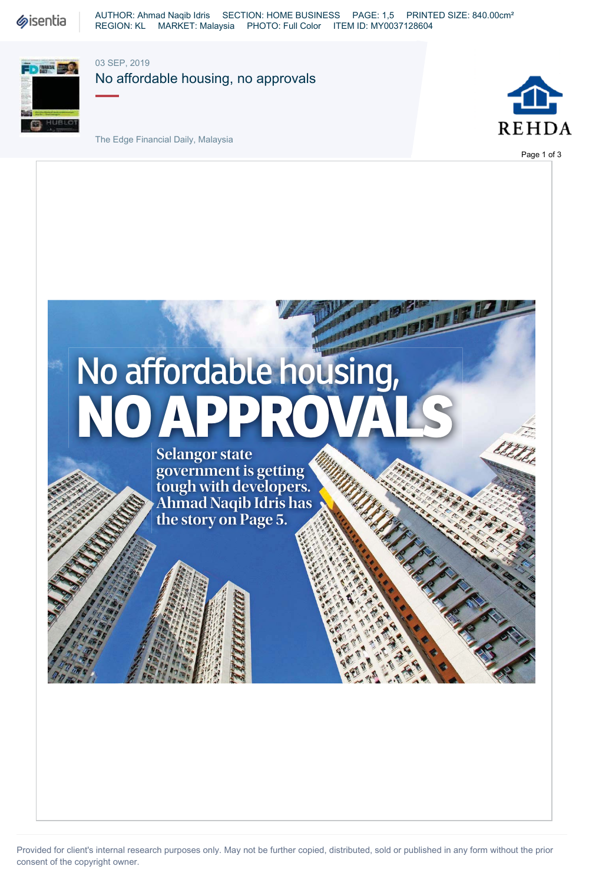**Sisentia** 

AUTHOR: Ahmad Naqib Idris SECTION: HOME BUSINESS PAGE: 1,5 PRINTED SIZE: 840.00cm² REGION: KL MARKET: Malaysia PHOTO: Full Color ITEM ID: MY0037128604



03 SEP, 2019

No affordable housing, no approvals

FINANCIAL





Page 1 of 3

# No affordable housing, NO APPR

**Selangor state government is getting tough with developers. Ahmad Naqib Idris has the story on Page 5.**

Provided for client's internal research purposes only. May not be further copied, distributed, sold or published in any form without the prior consent of the copyright owner.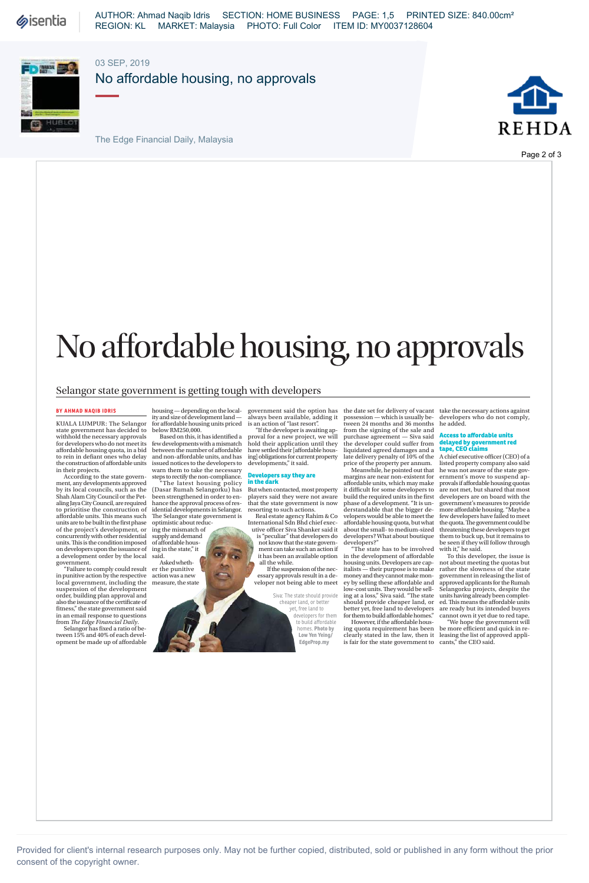**Sisentia** 



#### 03 SEP, 2019

No affordable housing, no approvals

The Edge Financial Daily, Malaysia



Page 2 of 3

## No affordable housing, no approvals

government said the option has always been available, adding it is an action of "last resort". "If the developer is awaiting ap-

#### Selangor state government is getting tough with developers

#### **BY AHMAD NAQIB IDRIS**

KUALA LUMPUR: The Selangor state government has decided to withhold the necessary approvals for developers who do not meet its aff ordable housing quota, in a bid to rein in defiant ones who delay the construction of affordable units in their projects. According to the state govern-

ment, any developments approved by its local councils, such as the Shah Alam City Council or the Pet-aling Jaya City Council, are required to prioritise the construction of affordable units. This means such units are to be built in the first phase<br>of the project's development, or concurrently with other residential units. This is the condition imposed<br>on developers upon the issuance of<br>a development order by the local

government. "Failure to comply could result er the punitive in punitive action by the respective local government, including the suspension of the development order, building plan approval and also the issuance of the certifi cate of fitness," the state government said<br>in an email response to questions<br>from *The Edge Financial Daily*.

Selangor has fixed a ratio of be-<br>tween 15% and 40% of each devel-<br>opment be made up of affordable

housing — depending on the local-ity and size of development land — for aff ordable housing units priced below RM250,000.

Based on this, it has identified a few developments with a mismatch<br>between the number of affordable and non-affordable units, and has

issued notices to the developers to<br>warn them to take the necessary<br>steps to rectify the non-compliance.<br>"The latest housing policy<br>(Dasar Rumah Selangorku) has<br>been strengthened in order to en-<br>hance the approval process idential developments in Selangor. The Selangor state government is<br>optimistic about reduc-<br>ing the mismatch of

supply and demand of aff ordable hous-

ing in the state," it said. Asked whethaction was a new measure, the state

proval for a new project, we will<br>hold their application until they<br>have settled their [affordable housing] obligations for current property developments," it said.

#### **Developers say they are in the dark**

But when contacted, most property players said they were not aware that the state government is now resorting to such actions.

Real estate agency Rahim & Co<br>
International Sdn Bhd chief exec-<br>
utive officer Siva Shanker said it<br>
is "peculiar" that developers do not know that the state govern-ment can take such an action if it has been an available option all the while.

If the suspension of the necessary approvals result in a de-veloper not being able to meet

> Siva: The state should provide cheaper land, or better yet, free land to developers for them to build affordable homes. **Photo by Low Yen Yeing/ EdgeProp.my**

the date set for delivery of vacant possession — which is usually be-tween 24 months and 36 months from the signing of the sale and purchase agreement — Siva said<br>the developer could suffer from<br>liquidated agreed damages and a<br>late delivery penalty of 10% of the<br>price of the property per annum.<br>Meanwhile, he pointed out that<br>margins are near non-existe

affordable units, which may make it difficult for some developers to build the required units in the first<br>phase of a development. "It is understandable that the bigger de-velopers would be able to meet the aff ordable housing quota, but what about the small- to medium-sized

developers? What about boutique<br>developers?"<br>"The state has to be involved<br>in the development of affordable<br>housing units. Developers are cap-<br>italists — their purpose is to make<br>money and they cannot make mon-<br>ey by selli should provide cheaper land, or<br>better yet, free land to developers<br>for them to build affordable homes."

However, if the affordable housing quota requirement has been clearly stated in the law, then it is fair for the state government to take the necessary actions against developers who do not comply, he added.

#### **Less to affordable u delayed by government red tape, CEO claims**

A chief executive officer (CEO) of a listed property company also said he was not aware of the state gov-ernment's move to suspend ap-provals if aff ordable housing quotas are not met, but shared that most developers are on board with the<br>government's measures to provide<br>more affordable housing. "Maybe a<br>few developers have failed to meet the quota. The government could be<br>threatening these developers to get them to buck up, but it remains to

be seen if they will follow through with it," he said. To this developer, the issue is not about meeting the quotas but rather the slowness of the state government in releasing the list of approved applicants for the Rumah Selangorku projects, despite the units having already been complet-ed. Th is means the aff ordable units are ready but its intended buyers cannot own it yet due to red tape.

"We hope the government will<br>be more efficient and quick in re-<br>leasing the list of approved appli-<br>cants," the CEO said.

Provided for client's internal research purposes only. May not be further copied, distributed, sold or published in any form without the prior consent of the copyright owner.